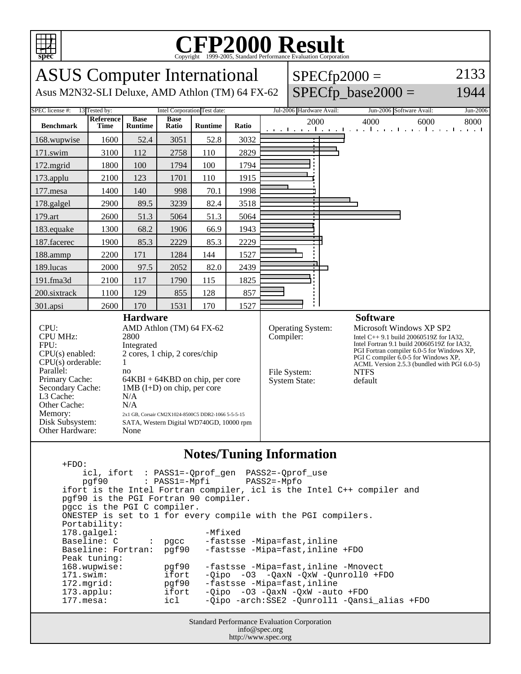

## C<sub>opyright</sub> ©1999-2005, Standard Performance Evaluation Corporation

| <b>ASUS</b> Computer International<br>Asus M2N32-SLI Deluxe, AMD Athlon (TM) 64 FX-62                                                                                                                                                                                                                                                                                                                                                                                                                                                  |                          |                               |                      |                |           | $SPECfp2000 =$                                                   | $SPECfp\_base2000 =$                                                                                                                                                                                                                                                                                   | 2133<br>1944                                                   |          |
|----------------------------------------------------------------------------------------------------------------------------------------------------------------------------------------------------------------------------------------------------------------------------------------------------------------------------------------------------------------------------------------------------------------------------------------------------------------------------------------------------------------------------------------|--------------------------|-------------------------------|----------------------|----------------|-----------|------------------------------------------------------------------|--------------------------------------------------------------------------------------------------------------------------------------------------------------------------------------------------------------------------------------------------------------------------------------------------------|----------------------------------------------------------------|----------|
| SPEC license #:<br>Intel Corporation Test date:<br>13 Tested by:                                                                                                                                                                                                                                                                                                                                                                                                                                                                       |                          |                               |                      |                |           |                                                                  | Jul-2006 Hardware Avail:                                                                                                                                                                                                                                                                               | Jun-2006 Software Avail:                                       | Jun-2006 |
| <b>Benchmark</b>                                                                                                                                                                                                                                                                                                                                                                                                                                                                                                                       | Reference<br><b>Time</b> | <b>Base</b><br><b>Runtime</b> | <b>Base</b><br>Ratio | <b>Runtime</b> | Ratio     |                                                                  | 2000                                                                                                                                                                                                                                                                                                   | 4000<br>6000<br>المتواجب والمتواطن والمتواطن والمتواطن والمتوا | 8000     |
| 168.wupwise                                                                                                                                                                                                                                                                                                                                                                                                                                                                                                                            | 1600                     | 52.4                          | 3051                 | 52.8           | 3032      |                                                                  |                                                                                                                                                                                                                                                                                                        |                                                                |          |
| 171.swim                                                                                                                                                                                                                                                                                                                                                                                                                                                                                                                               | 3100                     | 112                           | 2758                 | 110            | 2829      |                                                                  |                                                                                                                                                                                                                                                                                                        |                                                                |          |
| 172.mgrid                                                                                                                                                                                                                                                                                                                                                                                                                                                                                                                              | 1800                     | 100                           | 1794                 | 100            | 1794      |                                                                  |                                                                                                                                                                                                                                                                                                        |                                                                |          |
| 173.applu                                                                                                                                                                                                                                                                                                                                                                                                                                                                                                                              | 2100                     | 123                           | 1701                 | 110            | 1915      |                                                                  |                                                                                                                                                                                                                                                                                                        |                                                                |          |
| 177.mesa                                                                                                                                                                                                                                                                                                                                                                                                                                                                                                                               | 1400                     | 140                           | 998                  | 70.1           | 1998      |                                                                  |                                                                                                                                                                                                                                                                                                        |                                                                |          |
| 178.galgel                                                                                                                                                                                                                                                                                                                                                                                                                                                                                                                             | 2900                     | 89.5                          | 3239                 | 82.4           | 3518      |                                                                  |                                                                                                                                                                                                                                                                                                        |                                                                |          |
| 179.art                                                                                                                                                                                                                                                                                                                                                                                                                                                                                                                                | 2600                     | 51.3                          | 5064                 | 51.3           | 5064      |                                                                  |                                                                                                                                                                                                                                                                                                        |                                                                |          |
| 183.equake                                                                                                                                                                                                                                                                                                                                                                                                                                                                                                                             | 1300                     | 68.2                          | 1906                 | 66.9           | 1943      |                                                                  |                                                                                                                                                                                                                                                                                                        |                                                                |          |
| 187.facerec                                                                                                                                                                                                                                                                                                                                                                                                                                                                                                                            | 1900                     | 85.3                          | 2229                 | 85.3           | 2229      |                                                                  |                                                                                                                                                                                                                                                                                                        |                                                                |          |
| 188.ammp                                                                                                                                                                                                                                                                                                                                                                                                                                                                                                                               | 2200                     | 171                           | 1284                 | 144            | 1527      |                                                                  |                                                                                                                                                                                                                                                                                                        |                                                                |          |
| 189.lucas                                                                                                                                                                                                                                                                                                                                                                                                                                                                                                                              | 2000                     | 97.5                          | 2052                 | 82.0           | 2439      |                                                                  |                                                                                                                                                                                                                                                                                                        |                                                                |          |
| $191$ .fma $3d$                                                                                                                                                                                                                                                                                                                                                                                                                                                                                                                        | 2100                     | 117                           | 1790                 | 115            | 1825      |                                                                  |                                                                                                                                                                                                                                                                                                        |                                                                |          |
| 200.sixtrack                                                                                                                                                                                                                                                                                                                                                                                                                                                                                                                           | 1100                     | 129                           | 855                  | 128            | 857       |                                                                  |                                                                                                                                                                                                                                                                                                        |                                                                |          |
| 301.apsi                                                                                                                                                                                                                                                                                                                                                                                                                                                                                                                               | 2600                     | 170                           | 1531                 | 170            | 1527      |                                                                  |                                                                                                                                                                                                                                                                                                        |                                                                |          |
| <b>Hardware</b><br>CPU:<br>AMD Athlon (TM) 64 FX-62<br><b>CPU MHz:</b><br>2800<br>FPU:<br>Integrated<br>$CPU(s)$ enabled:<br>2 cores, 1 chip, 2 cores/chip<br>$CPU(s)$ orderable:<br>$\mathbf{1}$<br>Parallel:<br>no<br>Primary Cache:<br>$64KBI + 64KBD$ on chip, per core<br>$1MB$ (I+D) on chip, per core<br>Secondary Cache:<br>L3 Cache:<br>N/A<br>Other Cache:<br>N/A<br>Memory:<br>2x1 GB, Corsair CM2X1024-8500C5 DDR2-1066 5-5-5-15<br>Disk Subsystem:<br>SATA, Western Digital WD740GD, 10000 rpm<br>Other Hardware:<br>None |                          |                               |                      |                | Compiler: | <b>Operating System:</b><br>File System:<br><b>System State:</b> | <b>Software</b><br>Microsoft Windows XP SP2<br>Intel C++ 9.1 build 20060519Z for IA32,<br>Intel Fortran 9.1 build 20060519Z for IA32,<br>PGI Fortran compiler 6.0-5 for Windows XP,<br>PGI C compiler $6.0-5$ for Windows XP,<br>ACML Version 2.5.3 (bundled with PGI 6.0-5)<br><b>NTFS</b><br>default |                                                                |          |

## **Notes/Tuning Information**

Standard Performance Evaluation Corporation +FDO: icl, ifort : PASS1=-Qprof\_gen PASS2=-Qprof\_use  $pgf90$  :  $PASS1=-Mpfi$  ifort is the Intel Fortran compiler, icl is the Intel C++ compiler and pgf90 is the PGI Fortran 90 compiler. pgcc is the PGI C compiler. ONESTEP is set to 1 for every compile with the PGI compilers. Portability: 178.galgel: -Mfixed Baseline: C : pgcc -fastsse -Mipa=fast,inline<br>Baseline: Fortran: pgf90 -fastsse -Mipa=fast,inline -fastsse -Mipa=fast,inline +FDO Peak tuning:<br>168.wupwise: 168.wupwise: pgf90 -fastsse -Mipa=fast,inline -Mnovect 171.swim: ifort -Qipo -O3 -QaxN -QxW -Qunroll0 +FDO<br>172.mgrid: pgf90 -fastsse -Mipa=fast,inline -fastsse -Mipa=fast,inline 173.applu: ifort -Qipo -O3 -QaxN -QxW -auto +FDO 177.mesa: icl -Qipo -arch:SSE2 -Qunroll1 -Qansi\_alias +FDO

info@spec.org http://www.spec.org